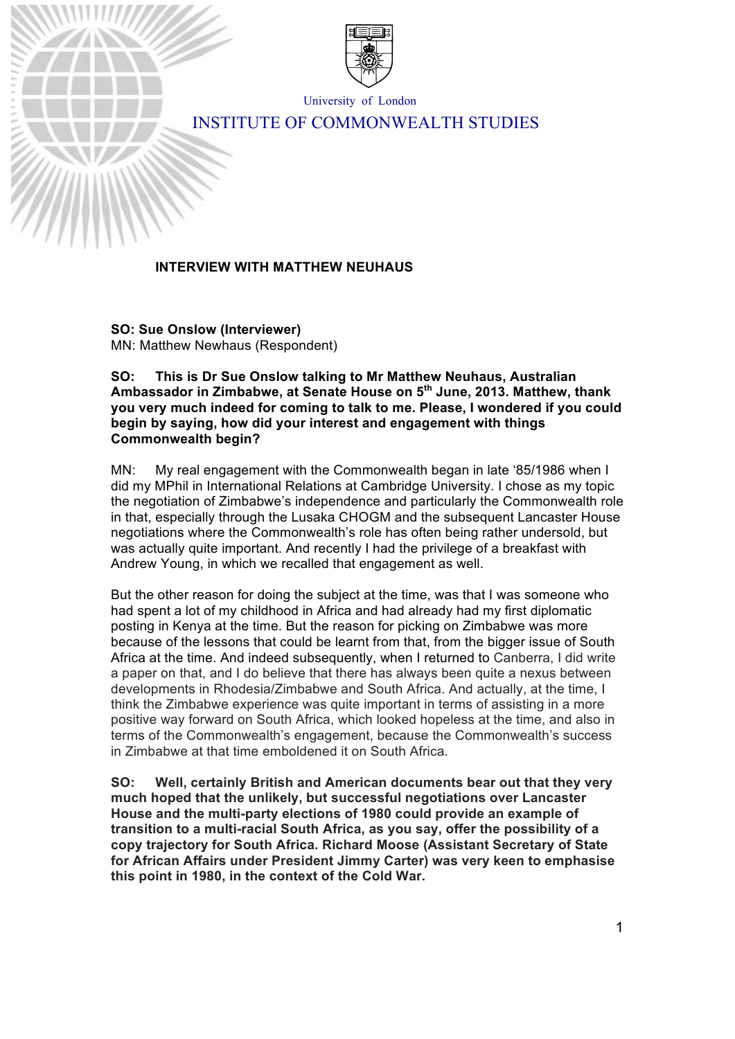

University of London

# INSTITUTE OF COMMONWEALTH STUDIES

#### **INTERVIEW WITH MATTHEW NEUHAUS**

**SO: Sue Onslow (Interviewer)** MN: Matthew Newhaus (Respondent)

**SO: This is Dr Sue Onslow talking to Mr Matthew Neuhaus, Australian Ambassador in Zimbabwe, at Senate House on 5th June, 2013. Matthew, thank you very much indeed for coming to talk to me. Please, I wondered if you could begin by saying, how did your interest and engagement with things Commonwealth begin?**

MN: My real engagement with the Commonwealth began in late '85/1986 when I did my MPhil in International Relations at Cambridge University. I chose as my topic the negotiation of Zimbabwe's independence and particularly the Commonwealth role in that, especially through the Lusaka CHOGM and the subsequent Lancaster House negotiations where the Commonwealth's role has often being rather undersold, but was actually quite important. And recently I had the privilege of a breakfast with Andrew Young, in which we recalled that engagement as well.

But the other reason for doing the subject at the time, was that I was someone who had spent a lot of my childhood in Africa and had already had my first diplomatic posting in Kenya at the time. But the reason for picking on Zimbabwe was more because of the lessons that could be learnt from that, from the bigger issue of South Africa at the time. And indeed subsequently, when I returned to Canberra, I did write a paper on that, and I do believe that there has always been quite a nexus between developments in Rhodesia/Zimbabwe and South Africa. And actually, at the time, I think the Zimbabwe experience was quite important in terms of assisting in a more positive way forward on South Africa, which looked hopeless at the time, and also in terms of the Commonwealth's engagement, because the Commonwealth's success in Zimbabwe at that time emboldened it on South Africa.

**SO: Well, certainly British and American documents bear out that they very much hoped that the unlikely, but successful negotiations over Lancaster House and the multi-party elections of 1980 could provide an example of transition to a multi-racial South Africa, as you say, offer the possibility of a copy trajectory for South Africa. Richard Moose (Assistant Secretary of State for African Affairs under President Jimmy Carter) was very keen to emphasise this point in 1980, in the context of the Cold War.**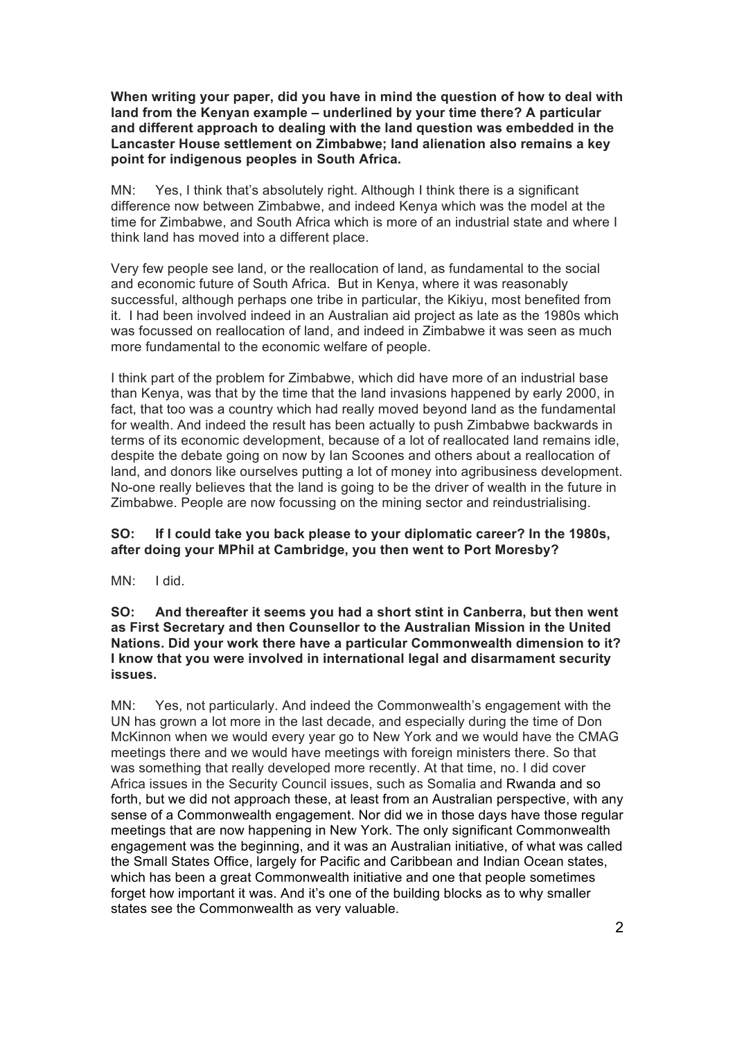**When writing your paper, did you have in mind the question of how to deal with land from the Kenyan example – underlined by your time there? A particular and different approach to dealing with the land question was embedded in the Lancaster House settlement on Zimbabwe; land alienation also remains a key point for indigenous peoples in South Africa.**

MN: Yes, I think that's absolutely right. Although I think there is a significant difference now between Zimbabwe, and indeed Kenya which was the model at the time for Zimbabwe, and South Africa which is more of an industrial state and where I think land has moved into a different place.

Very few people see land, or the reallocation of land, as fundamental to the social and economic future of South Africa. But in Kenya, where it was reasonably successful, although perhaps one tribe in particular, the Kikiyu, most benefited from it. I had been involved indeed in an Australian aid project as late as the 1980s which was focussed on reallocation of land, and indeed in Zimbabwe it was seen as much more fundamental to the economic welfare of people.

I think part of the problem for Zimbabwe, which did have more of an industrial base than Kenya, was that by the time that the land invasions happened by early 2000, in fact, that too was a country which had really moved beyond land as the fundamental for wealth. And indeed the result has been actually to push Zimbabwe backwards in terms of its economic development, because of a lot of reallocated land remains idle, despite the debate going on now by Ian Scoones and others about a reallocation of land, and donors like ourselves putting a lot of money into agribusiness development. No-one really believes that the land is going to be the driver of wealth in the future in Zimbabwe. People are now focussing on the mining sector and reindustrialising.

#### **SO: If I could take you back please to your diplomatic career? In the 1980s, after doing your MPhil at Cambridge, you then went to Port Moresby?**

MN: I did.

**SO: And thereafter it seems you had a short stint in Canberra, but then went as First Secretary and then Counsellor to the Australian Mission in the United Nations. Did your work there have a particular Commonwealth dimension to it? I know that you were involved in international legal and disarmament security issues.**

MN: Yes, not particularly. And indeed the Commonwealth's engagement with the UN has grown a lot more in the last decade, and especially during the time of Don McKinnon when we would every year go to New York and we would have the CMAG meetings there and we would have meetings with foreign ministers there. So that was something that really developed more recently. At that time, no. I did cover Africa issues in the Security Council issues, such as Somalia and Rwanda and so forth, but we did not approach these, at least from an Australian perspective, with any sense of a Commonwealth engagement. Nor did we in those days have those regular meetings that are now happening in New York. The only significant Commonwealth engagement was the beginning, and it was an Australian initiative, of what was called the Small States Office, largely for Pacific and Caribbean and Indian Ocean states, which has been a great Commonwealth initiative and one that people sometimes forget how important it was. And it's one of the building blocks as to why smaller states see the Commonwealth as very valuable.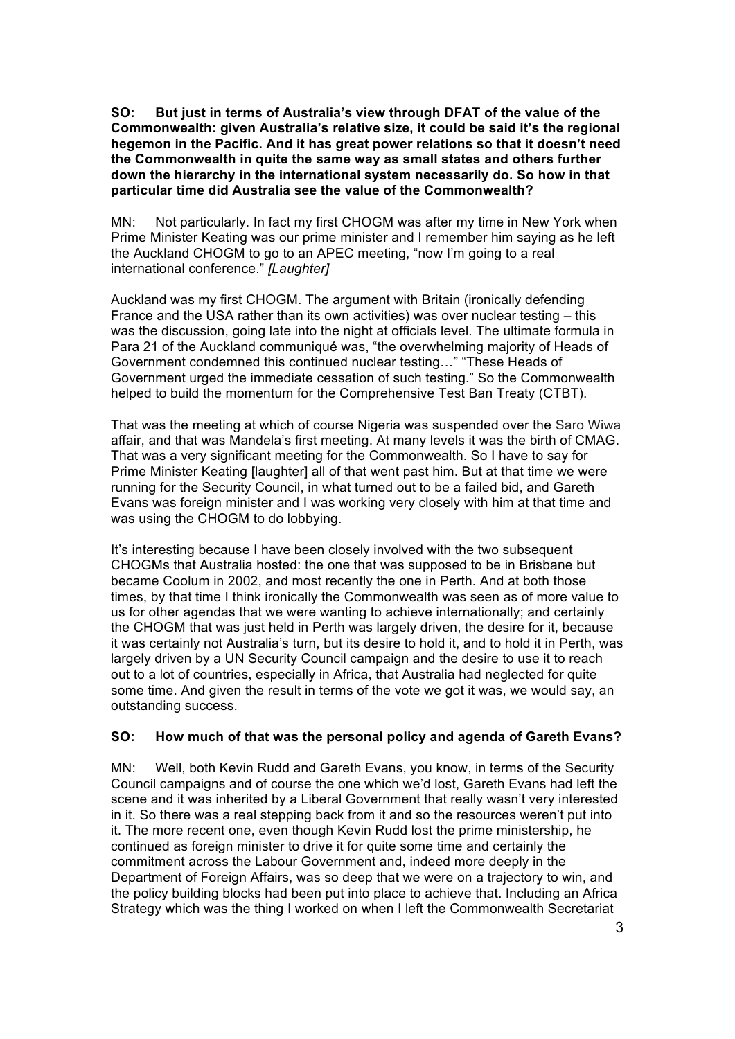**SO: But just in terms of Australia's view through DFAT of the value of the Commonwealth: given Australia's relative size, it could be said it's the regional hegemon in the Pacific. And it has great power relations so that it doesn't need the Commonwealth in quite the same way as small states and others further down the hierarchy in the international system necessarily do. So how in that particular time did Australia see the value of the Commonwealth?**

MN: Not particularly. In fact my first CHOGM was after my time in New York when Prime Minister Keating was our prime minister and I remember him saying as he left the Auckland CHOGM to go to an APEC meeting, "now I'm going to a real international conference." *[Laughter]*

Auckland was my first CHOGM. The argument with Britain (ironically defending France and the USA rather than its own activities) was over nuclear testing – this was the discussion, going late into the night at officials level. The ultimate formula in Para 21 of the Auckland communiqué was, "the overwhelming majority of Heads of Government condemned this continued nuclear testing…" "These Heads of Government urged the immediate cessation of such testing." So the Commonwealth helped to build the momentum for the Comprehensive Test Ban Treaty (CTBT).

That was the meeting at which of course Nigeria was suspended over the Saro Wiwa affair, and that was Mandela's first meeting. At many levels it was the birth of CMAG. That was a very significant meeting for the Commonwealth. So I have to say for Prime Minister Keating [laughter] all of that went past him. But at that time we were running for the Security Council, in what turned out to be a failed bid, and Gareth Evans was foreign minister and I was working very closely with him at that time and was using the CHOGM to do lobbying.

It's interesting because I have been closely involved with the two subsequent CHOGMs that Australia hosted: the one that was supposed to be in Brisbane but became Coolum in 2002, and most recently the one in Perth. And at both those times, by that time I think ironically the Commonwealth was seen as of more value to us for other agendas that we were wanting to achieve internationally; and certainly the CHOGM that was just held in Perth was largely driven, the desire for it, because it was certainly not Australia's turn, but its desire to hold it, and to hold it in Perth, was largely driven by a UN Security Council campaign and the desire to use it to reach out to a lot of countries, especially in Africa, that Australia had neglected for quite some time. And given the result in terms of the vote we got it was, we would say, an outstanding success.

## **SO: How much of that was the personal policy and agenda of Gareth Evans?**

MN: Well, both Kevin Rudd and Gareth Evans, you know, in terms of the Security Council campaigns and of course the one which we'd lost, Gareth Evans had left the scene and it was inherited by a Liberal Government that really wasn't very interested in it. So there was a real stepping back from it and so the resources weren't put into it. The more recent one, even though Kevin Rudd lost the prime ministership, he continued as foreign minister to drive it for quite some time and certainly the commitment across the Labour Government and, indeed more deeply in the Department of Foreign Affairs, was so deep that we were on a trajectory to win, and the policy building blocks had been put into place to achieve that. Including an Africa Strategy which was the thing I worked on when I left the Commonwealth Secretariat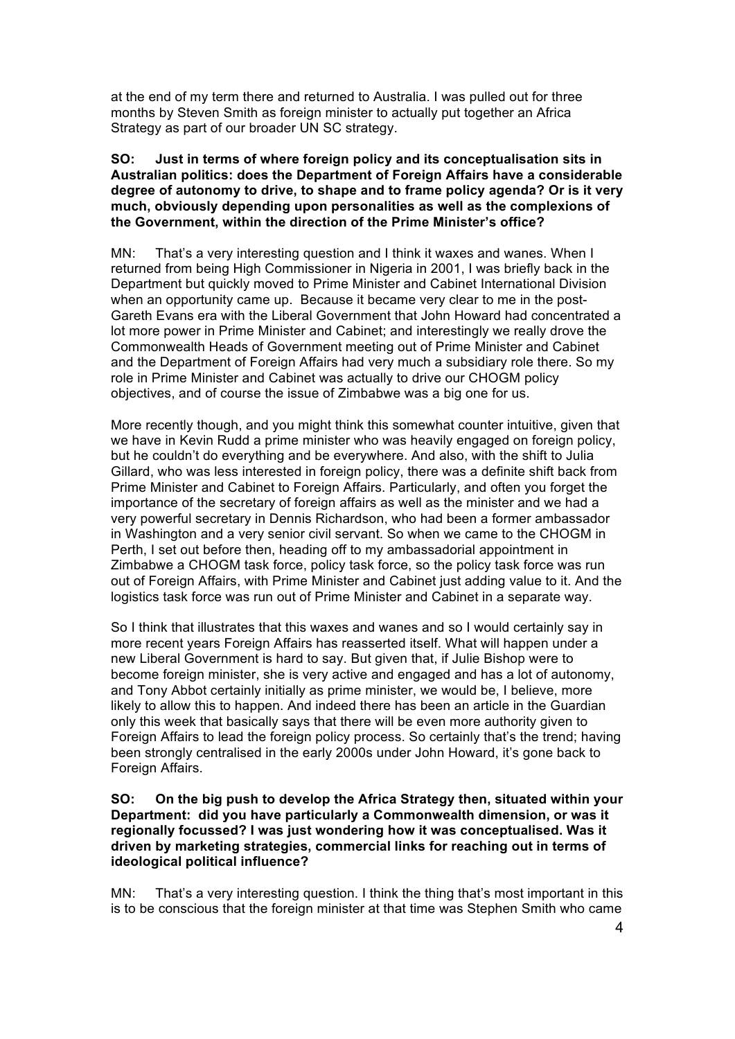at the end of my term there and returned to Australia. I was pulled out for three months by Steven Smith as foreign minister to actually put together an Africa Strategy as part of our broader UN SC strategy.

#### **SO: Just in terms of where foreign policy and its conceptualisation sits in Australian politics: does the Department of Foreign Affairs have a considerable degree of autonomy to drive, to shape and to frame policy agenda? Or is it very much, obviously depending upon personalities as well as the complexions of the Government, within the direction of the Prime Minister's office?**

MN: That's a very interesting question and I think it waxes and wanes. When I returned from being High Commissioner in Nigeria in 2001, I was briefly back in the Department but quickly moved to Prime Minister and Cabinet International Division when an opportunity came up. Because it became very clear to me in the post-Gareth Evans era with the Liberal Government that John Howard had concentrated a lot more power in Prime Minister and Cabinet; and interestingly we really drove the Commonwealth Heads of Government meeting out of Prime Minister and Cabinet and the Department of Foreign Affairs had very much a subsidiary role there. So my role in Prime Minister and Cabinet was actually to drive our CHOGM policy objectives, and of course the issue of Zimbabwe was a big one for us.

More recently though, and you might think this somewhat counter intuitive, given that we have in Kevin Rudd a prime minister who was heavily engaged on foreign policy, but he couldn't do everything and be everywhere. And also, with the shift to Julia Gillard, who was less interested in foreign policy, there was a definite shift back from Prime Minister and Cabinet to Foreign Affairs. Particularly, and often you forget the importance of the secretary of foreign affairs as well as the minister and we had a very powerful secretary in Dennis Richardson, who had been a former ambassador in Washington and a very senior civil servant. So when we came to the CHOGM in Perth, I set out before then, heading off to my ambassadorial appointment in Zimbabwe a CHOGM task force, policy task force, so the policy task force was run out of Foreign Affairs, with Prime Minister and Cabinet just adding value to it. And the logistics task force was run out of Prime Minister and Cabinet in a separate way.

So I think that illustrates that this waxes and wanes and so I would certainly say in more recent years Foreign Affairs has reasserted itself. What will happen under a new Liberal Government is hard to say. But given that, if Julie Bishop were to become foreign minister, she is very active and engaged and has a lot of autonomy, and Tony Abbot certainly initially as prime minister, we would be, I believe, more likely to allow this to happen. And indeed there has been an article in the Guardian only this week that basically says that there will be even more authority given to Foreign Affairs to lead the foreign policy process. So certainly that's the trend; having been strongly centralised in the early 2000s under John Howard, it's gone back to Foreign Affairs.

#### **SO: On the big push to develop the Africa Strategy then, situated within your Department: did you have particularly a Commonwealth dimension, or was it regionally focussed? I was just wondering how it was conceptualised. Was it driven by marketing strategies, commercial links for reaching out in terms of ideological political influence?**

MN: That's a very interesting question. I think the thing that's most important in this is to be conscious that the foreign minister at that time was Stephen Smith who came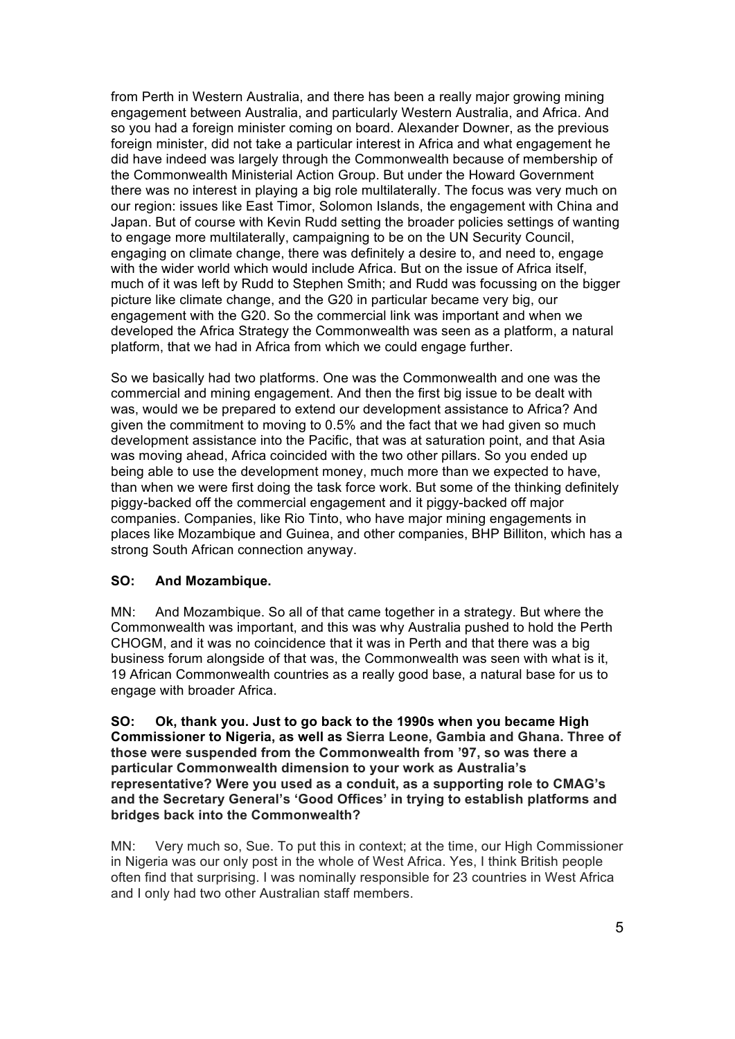from Perth in Western Australia, and there has been a really major growing mining engagement between Australia, and particularly Western Australia, and Africa. And so you had a foreign minister coming on board. Alexander Downer, as the previous foreign minister, did not take a particular interest in Africa and what engagement he did have indeed was largely through the Commonwealth because of membership of the Commonwealth Ministerial Action Group. But under the Howard Government there was no interest in playing a big role multilaterally. The focus was very much on our region: issues like East Timor, Solomon Islands, the engagement with China and Japan. But of course with Kevin Rudd setting the broader policies settings of wanting to engage more multilaterally, campaigning to be on the UN Security Council, engaging on climate change, there was definitely a desire to, and need to, engage with the wider world which would include Africa. But on the issue of Africa itself, much of it was left by Rudd to Stephen Smith; and Rudd was focussing on the bigger picture like climate change, and the G20 in particular became very big, our engagement with the G20. So the commercial link was important and when we developed the Africa Strategy the Commonwealth was seen as a platform, a natural platform, that we had in Africa from which we could engage further.

So we basically had two platforms. One was the Commonwealth and one was the commercial and mining engagement. And then the first big issue to be dealt with was, would we be prepared to extend our development assistance to Africa? And given the commitment to moving to 0.5% and the fact that we had given so much development assistance into the Pacific, that was at saturation point, and that Asia was moving ahead, Africa coincided with the two other pillars. So you ended up being able to use the development money, much more than we expected to have, than when we were first doing the task force work. But some of the thinking definitely piggy-backed off the commercial engagement and it piggy-backed off major companies. Companies, like Rio Tinto, who have major mining engagements in places like Mozambique and Guinea, and other companies, BHP Billiton, which has a strong South African connection anyway.

## **SO: And Mozambique.**

MN: And Mozambique. So all of that came together in a strategy. But where the Commonwealth was important, and this was why Australia pushed to hold the Perth CHOGM, and it was no coincidence that it was in Perth and that there was a big business forum alongside of that was, the Commonwealth was seen with what is it, 19 African Commonwealth countries as a really good base, a natural base for us to engage with broader Africa.

#### **SO: Ok, thank you. Just to go back to the 1990s when you became High Commissioner to Nigeria, as well as Sierra Leone, Gambia and Ghana. Three of those were suspended from the Commonwealth from '97, so was there a particular Commonwealth dimension to your work as Australia's representative? Were you used as a conduit, as a supporting role to CMAG's and the Secretary General's 'Good Offices' in trying to establish platforms and bridges back into the Commonwealth?**

MN: Very much so, Sue. To put this in context; at the time, our High Commissioner in Nigeria was our only post in the whole of West Africa. Yes, I think British people often find that surprising. I was nominally responsible for 23 countries in West Africa and I only had two other Australian staff members.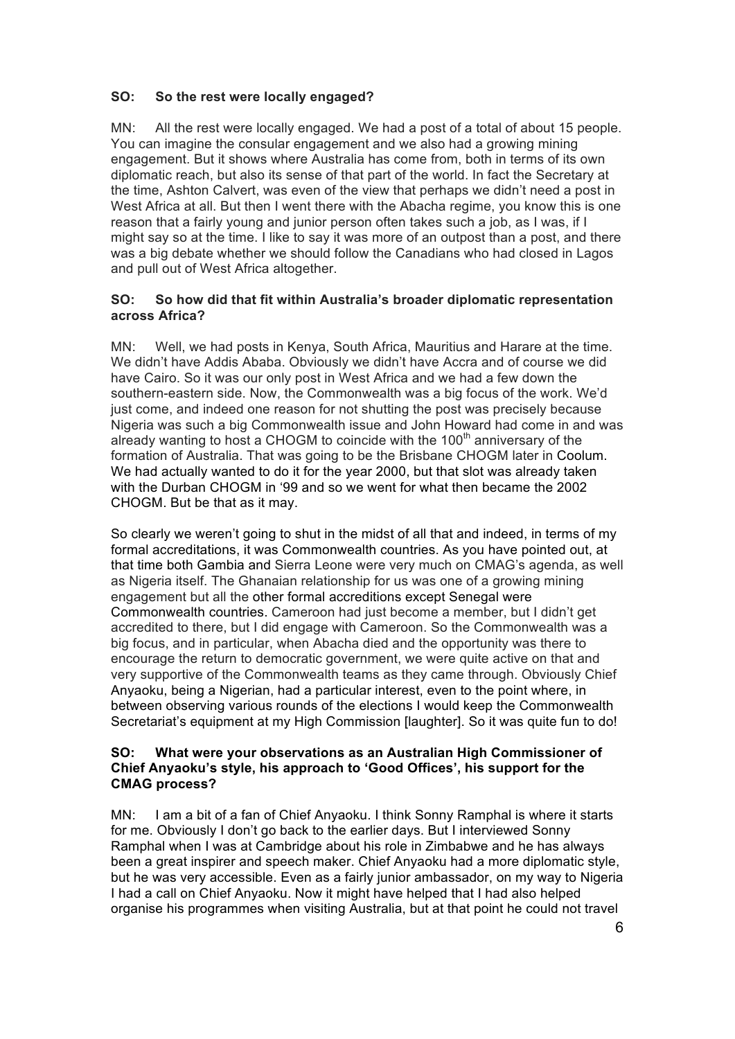## **SO: So the rest were locally engaged?**

MN: All the rest were locally engaged. We had a post of a total of about 15 people. You can imagine the consular engagement and we also had a growing mining engagement. But it shows where Australia has come from, both in terms of its own diplomatic reach, but also its sense of that part of the world. In fact the Secretary at the time, Ashton Calvert, was even of the view that perhaps we didn't need a post in West Africa at all. But then I went there with the Abacha regime, you know this is one reason that a fairly young and junior person often takes such a job, as I was, if I might say so at the time. I like to say it was more of an outpost than a post, and there was a big debate whether we should follow the Canadians who had closed in Lagos and pull out of West Africa altogether.

## **SO: So how did that fit within Australia's broader diplomatic representation across Africa?**

MN: Well, we had posts in Kenya, South Africa, Mauritius and Harare at the time. We didn't have Addis Ababa. Obviously we didn't have Accra and of course we did have Cairo. So it was our only post in West Africa and we had a few down the southern-eastern side. Now, the Commonwealth was a big focus of the work. We'd just come, and indeed one reason for not shutting the post was precisely because Nigeria was such a big Commonwealth issue and John Howard had come in and was already wanting to host a CHOGM to coincide with the  $100<sup>th</sup>$  anniversary of the formation of Australia. That was going to be the Brisbane CHOGM later in Coolum. We had actually wanted to do it for the year 2000, but that slot was already taken with the Durban CHOGM in '99 and so we went for what then became the 2002 CHOGM. But be that as it may.

So clearly we weren't going to shut in the midst of all that and indeed, in terms of my formal accreditations, it was Commonwealth countries. As you have pointed out, at that time both Gambia and Sierra Leone were very much on CMAG's agenda, as well as Nigeria itself. The Ghanaian relationship for us was one of a growing mining engagement but all the other formal accreditions except Senegal were Commonwealth countries. Cameroon had just become a member, but I didn't get accredited to there, but I did engage with Cameroon. So the Commonwealth was a big focus, and in particular, when Abacha died and the opportunity was there to encourage the return to democratic government, we were quite active on that and very supportive of the Commonwealth teams as they came through. Obviously Chief Anyaoku, being a Nigerian, had a particular interest, even to the point where, in between observing various rounds of the elections I would keep the Commonwealth Secretariat's equipment at my High Commission [laughter]. So it was quite fun to do!

#### **SO: What were your observations as an Australian High Commissioner of Chief Anyaoku's style, his approach to 'Good Offices', his support for the CMAG process?**

MN: I am a bit of a fan of Chief Anyaoku. I think Sonny Ramphal is where it starts for me. Obviously I don't go back to the earlier days. But I interviewed Sonny Ramphal when I was at Cambridge about his role in Zimbabwe and he has always been a great inspirer and speech maker. Chief Anyaoku had a more diplomatic style, but he was very accessible. Even as a fairly junior ambassador, on my way to Nigeria I had a call on Chief Anyaoku. Now it might have helped that I had also helped organise his programmes when visiting Australia, but at that point he could not travel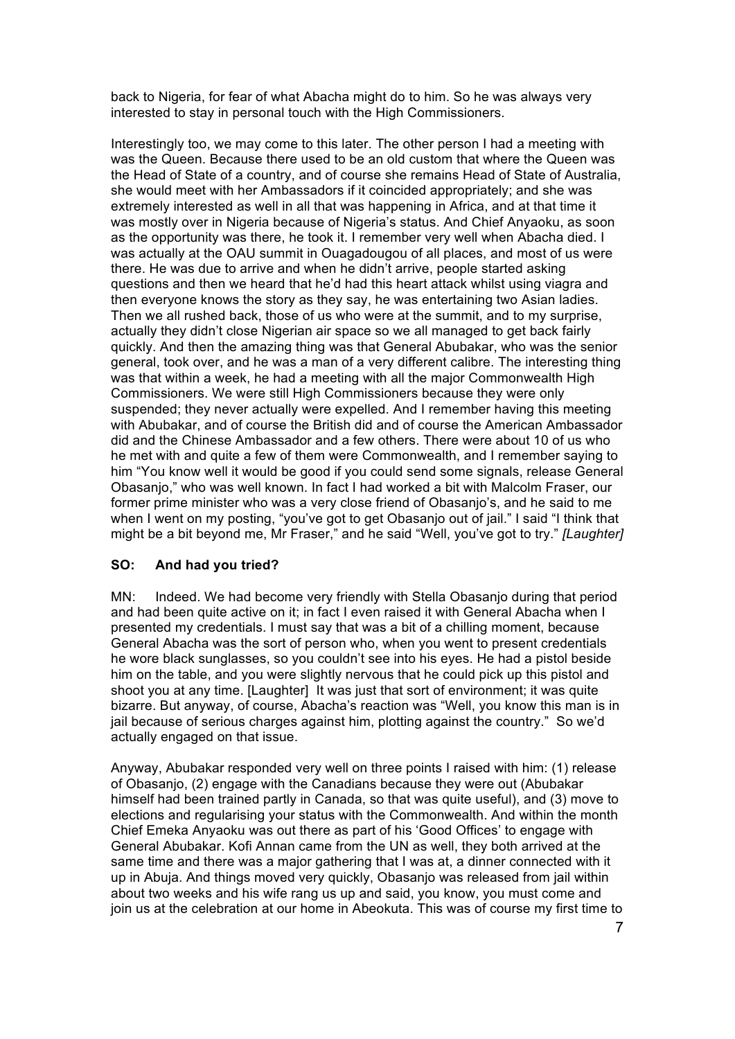back to Nigeria, for fear of what Abacha might do to him. So he was always very interested to stay in personal touch with the High Commissioners.

Interestingly too, we may come to this later. The other person I had a meeting with was the Queen. Because there used to be an old custom that where the Queen was the Head of State of a country, and of course she remains Head of State of Australia, she would meet with her Ambassadors if it coincided appropriately; and she was extremely interested as well in all that was happening in Africa, and at that time it was mostly over in Nigeria because of Nigeria's status. And Chief Anyaoku, as soon as the opportunity was there, he took it. I remember very well when Abacha died. I was actually at the OAU summit in Ouagadougou of all places, and most of us were there. He was due to arrive and when he didn't arrive, people started asking questions and then we heard that he'd had this heart attack whilst using viagra and then everyone knows the story as they say, he was entertaining two Asian ladies. Then we all rushed back, those of us who were at the summit, and to my surprise, actually they didn't close Nigerian air space so we all managed to get back fairly quickly. And then the amazing thing was that General Abubakar, who was the senior general, took over, and he was a man of a very different calibre. The interesting thing was that within a week, he had a meeting with all the major Commonwealth High Commissioners. We were still High Commissioners because they were only suspended; they never actually were expelled. And I remember having this meeting with Abubakar, and of course the British did and of course the American Ambassador did and the Chinese Ambassador and a few others. There were about 10 of us who he met with and quite a few of them were Commonwealth, and I remember saying to him "You know well it would be good if you could send some signals, release General Obasanjo," who was well known. In fact I had worked a bit with Malcolm Fraser, our former prime minister who was a very close friend of Obasanjo's, and he said to me when I went on my posting, "you've got to get Obasanjo out of jail." I said "I think that might be a bit beyond me, Mr Fraser," and he said "Well, you've got to try." *[Laughter]*

## **SO: And had you tried?**

MN: Indeed. We had become very friendly with Stella Obasanjo during that period and had been quite active on it; in fact I even raised it with General Abacha when I presented my credentials. I must say that was a bit of a chilling moment, because General Abacha was the sort of person who, when you went to present credentials he wore black sunglasses, so you couldn't see into his eyes. He had a pistol beside him on the table, and you were slightly nervous that he could pick up this pistol and shoot you at any time. [Laughter] It was just that sort of environment; it was quite bizarre. But anyway, of course, Abacha's reaction was "Well, you know this man is in jail because of serious charges against him, plotting against the country." So we'd actually engaged on that issue.

Anyway, Abubakar responded very well on three points I raised with him: (1) release of Obasanjo, (2) engage with the Canadians because they were out (Abubakar himself had been trained partly in Canada, so that was quite useful), and (3) move to elections and regularising your status with the Commonwealth. And within the month Chief Emeka Anyaoku was out there as part of his 'Good Offices' to engage with General Abubakar. Kofi Annan came from the UN as well, they both arrived at the same time and there was a major gathering that I was at, a dinner connected with it up in Abuja. And things moved very quickly, Obasanjo was released from jail within about two weeks and his wife rang us up and said, you know, you must come and join us at the celebration at our home in Abeokuta. This was of course my first time to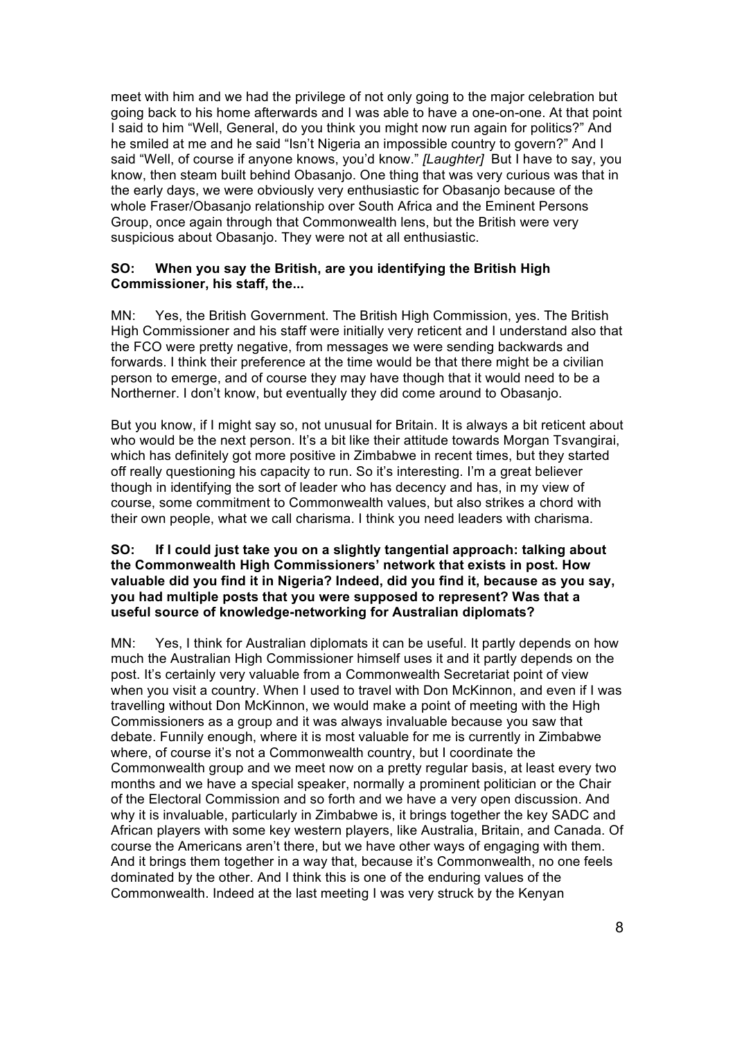meet with him and we had the privilege of not only going to the major celebration but going back to his home afterwards and I was able to have a one-on-one. At that point I said to him "Well, General, do you think you might now run again for politics?" And he smiled at me and he said "Isn't Nigeria an impossible country to govern?" And I said "Well, of course if anyone knows, you'd know." *[Laughter]* But I have to say, you know, then steam built behind Obasanjo. One thing that was very curious was that in the early days, we were obviously very enthusiastic for Obasanjo because of the whole Fraser/Obasanjo relationship over South Africa and the Eminent Persons Group, once again through that Commonwealth lens, but the British were very suspicious about Obasanjo. They were not at all enthusiastic.

#### **SO: When you say the British, are you identifying the British High Commissioner, his staff, the...**

MN: Yes, the British Government. The British High Commission, yes. The British High Commissioner and his staff were initially very reticent and I understand also that the FCO were pretty negative, from messages we were sending backwards and forwards. I think their preference at the time would be that there might be a civilian person to emerge, and of course they may have though that it would need to be a Northerner. I don't know, but eventually they did come around to Obasanjo.

But you know, if I might say so, not unusual for Britain. It is always a bit reticent about who would be the next person. It's a bit like their attitude towards Morgan Tsyangirai. which has definitely got more positive in Zimbabwe in recent times, but they started off really questioning his capacity to run. So it's interesting. I'm a great believer though in identifying the sort of leader who has decency and has, in my view of course, some commitment to Commonwealth values, but also strikes a chord with their own people, what we call charisma. I think you need leaders with charisma.

### **SO: If I could just take you on a slightly tangential approach: talking about the Commonwealth High Commissioners' network that exists in post. How valuable did you find it in Nigeria? Indeed, did you find it, because as you say, you had multiple posts that you were supposed to represent? Was that a useful source of knowledge-networking for Australian diplomats?**

MN: Yes, I think for Australian diplomats it can be useful. It partly depends on how much the Australian High Commissioner himself uses it and it partly depends on the post. It's certainly very valuable from a Commonwealth Secretariat point of view when you visit a country. When I used to travel with Don McKinnon, and even if I was travelling without Don McKinnon, we would make a point of meeting with the High Commissioners as a group and it was always invaluable because you saw that debate. Funnily enough, where it is most valuable for me is currently in Zimbabwe where, of course it's not a Commonwealth country, but I coordinate the Commonwealth group and we meet now on a pretty regular basis, at least every two months and we have a special speaker, normally a prominent politician or the Chair of the Electoral Commission and so forth and we have a very open discussion. And why it is invaluable, particularly in Zimbabwe is, it brings together the key SADC and African players with some key western players, like Australia, Britain, and Canada. Of course the Americans aren't there, but we have other ways of engaging with them. And it brings them together in a way that, because it's Commonwealth, no one feels dominated by the other. And I think this is one of the enduring values of the Commonwealth. Indeed at the last meeting I was very struck by the Kenyan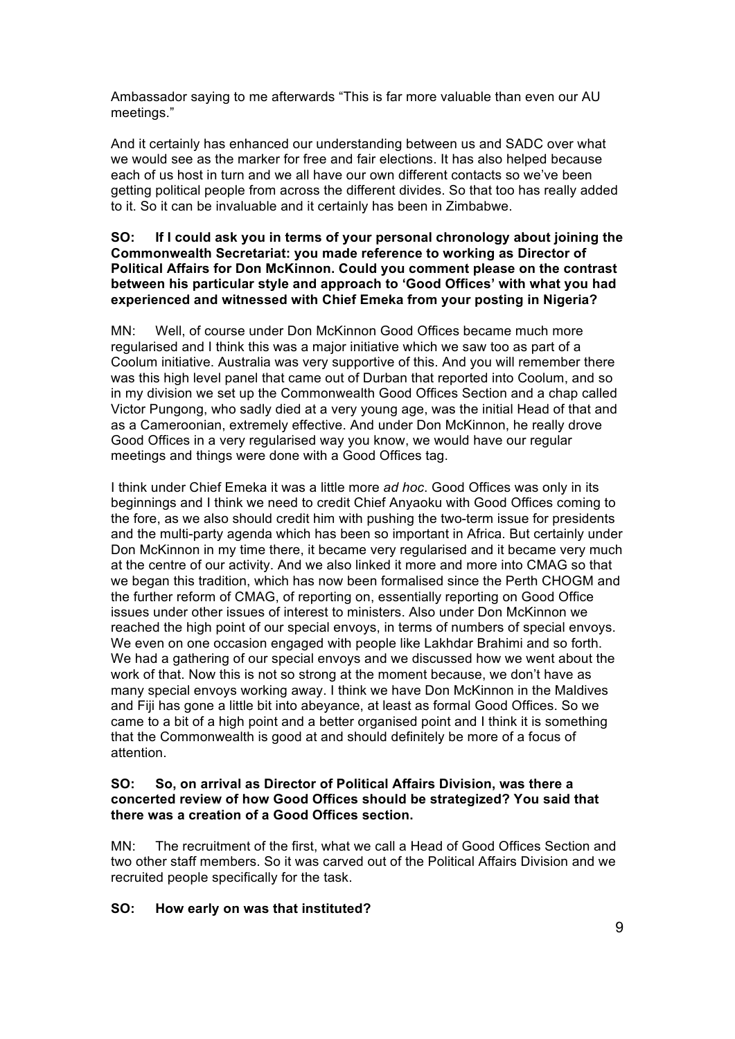Ambassador saying to me afterwards "This is far more valuable than even our AU meetings."

And it certainly has enhanced our understanding between us and SADC over what we would see as the marker for free and fair elections. It has also helped because each of us host in turn and we all have our own different contacts so we've been getting political people from across the different divides. So that too has really added to it. So it can be invaluable and it certainly has been in Zimbabwe.

#### **SO: If I could ask you in terms of your personal chronology about joining the Commonwealth Secretariat: you made reference to working as Director of Political Affairs for Don McKinnon. Could you comment please on the contrast between his particular style and approach to 'Good Offices' with what you had experienced and witnessed with Chief Emeka from your posting in Nigeria?**

MN: Well, of course under Don McKinnon Good Offices became much more regularised and I think this was a major initiative which we saw too as part of a Coolum initiative. Australia was very supportive of this. And you will remember there was this high level panel that came out of Durban that reported into Coolum, and so in my division we set up the Commonwealth Good Offices Section and a chap called Victor Pungong, who sadly died at a very young age, was the initial Head of that and as a Cameroonian, extremely effective. And under Don McKinnon, he really drove Good Offices in a very regularised way you know, we would have our regular meetings and things were done with a Good Offices tag.

I think under Chief Emeka it was a little more *ad hoc*. Good Offices was only in its beginnings and I think we need to credit Chief Anyaoku with Good Offices coming to the fore, as we also should credit him with pushing the two-term issue for presidents and the multi-party agenda which has been so important in Africa. But certainly under Don McKinnon in my time there, it became very regularised and it became very much at the centre of our activity. And we also linked it more and more into CMAG so that we began this tradition, which has now been formalised since the Perth CHOGM and the further reform of CMAG, of reporting on, essentially reporting on Good Office issues under other issues of interest to ministers. Also under Don McKinnon we reached the high point of our special envoys, in terms of numbers of special envoys. We even on one occasion engaged with people like Lakhdar Brahimi and so forth. We had a gathering of our special envoys and we discussed how we went about the work of that. Now this is not so strong at the moment because, we don't have as many special envoys working away. I think we have Don McKinnon in the Maldives and Fiji has gone a little bit into abeyance, at least as formal Good Offices. So we came to a bit of a high point and a better organised point and I think it is something that the Commonwealth is good at and should definitely be more of a focus of attention.

### **SO: So, on arrival as Director of Political Affairs Division, was there a concerted review of how Good Offices should be strategized? You said that there was a creation of a Good Offices section.**

MN: The recruitment of the first, what we call a Head of Good Offices Section and two other staff members. So it was carved out of the Political Affairs Division and we recruited people specifically for the task.

## **SO: How early on was that instituted?**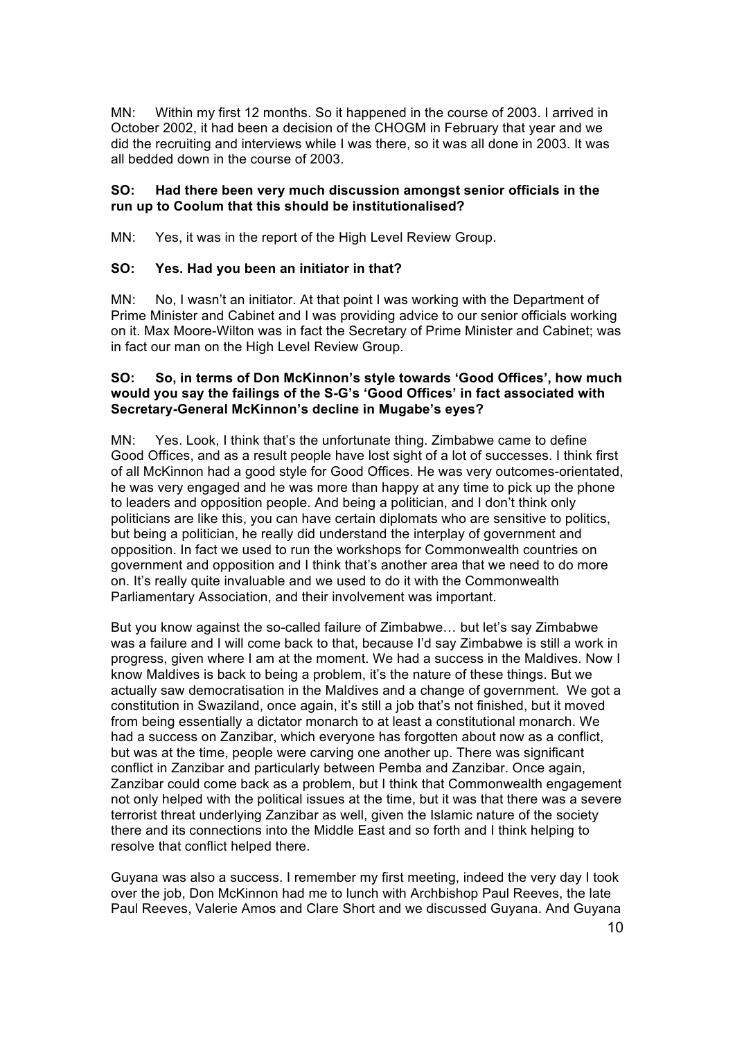MN: Within my first 12 months. So it happened in the course of 2003. I arrived in October 2002, it had been a decision of the CHOGM in February that year and we did the recruiting and interviews while I was there, so it was all done in 2003. It was all bedded down in the course of 2003.

## **SO: Had there been very much discussion amongst senior officials in the run up to Coolum that this should be institutionalised?**

MN: Yes, it was in the report of the High Level Review Group.

## **SO: Yes. Had you been an initiator in that?**

MN: No, I wasn't an initiator. At that point I was working with the Department of Prime Minister and Cabinet and I was providing advice to our senior officials working on it. Max Moore-Wilton was in fact the Secretary of Prime Minister and Cabinet; was in fact our man on the High Level Review Group.

#### **SO: So, in terms of Don McKinnon's style towards 'Good Offices', how much would you say the failings of the S-G's 'Good Offices' in fact associated with Secretary-General McKinnon's decline in Mugabe's eyes?**

MN: Yes. Look, I think that's the unfortunate thing. Zimbabwe came to define Good Offices, and as a result people have lost sight of a lot of successes. I think first of all McKinnon had a good style for Good Offices. He was very outcomes-orientated, he was very engaged and he was more than happy at any time to pick up the phone to leaders and opposition people. And being a politician, and I don't think only politicians are like this, you can have certain diplomats who are sensitive to politics, but being a politician, he really did understand the interplay of government and opposition. In fact we used to run the workshops for Commonwealth countries on government and opposition and I think that's another area that we need to do more on. It's really quite invaluable and we used to do it with the Commonwealth Parliamentary Association, and their involvement was important.

But you know against the so-called failure of Zimbabwe… but let's say Zimbabwe was a failure and I will come back to that, because I'd say Zimbabwe is still a work in progress, given where I am at the moment. We had a success in the Maldives. Now I know Maldives is back to being a problem, it's the nature of these things. But we actually saw democratisation in the Maldives and a change of government. We got a constitution in Swaziland, once again, it's still a job that's not finished, but it moved from being essentially a dictator monarch to at least a constitutional monarch. We had a success on Zanzibar, which everyone has forgotten about now as a conflict, but was at the time, people were carving one another up. There was significant conflict in Zanzibar and particularly between Pemba and Zanzibar. Once again, Zanzibar could come back as a problem, but I think that Commonwealth engagement not only helped with the political issues at the time, but it was that there was a severe terrorist threat underlying Zanzibar as well, given the Islamic nature of the society there and its connections into the Middle East and so forth and I think helping to resolve that conflict helped there.

Guyana was also a success. I remember my first meeting, indeed the very day I took over the job, Don McKinnon had me to lunch with Archbishop Paul Reeves, the late Paul Reeves, Valerie Amos and Clare Short and we discussed Guyana. And Guyana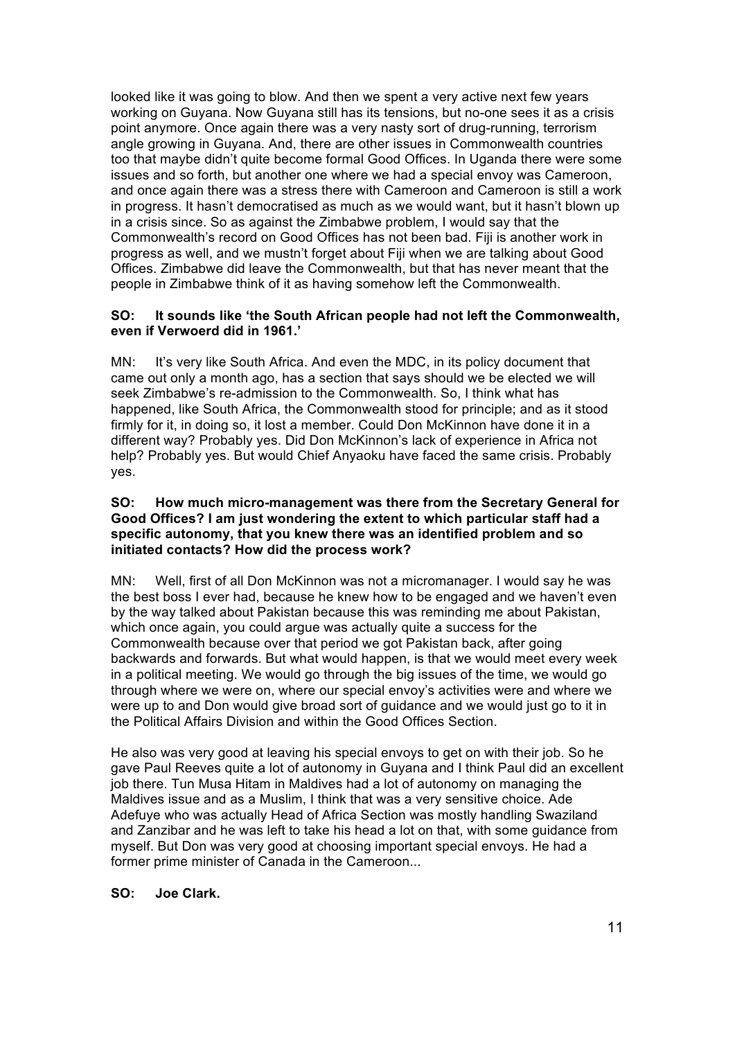looked like it was going to blow. And then we spent a very active next few years working on Guyana. Now Guyana still has its tensions, but no-one sees it as a crisis point anymore. Once again there was a very nasty sort of drug-running, terrorism angle growing in Guyana. And, there are other issues in Commonwealth countries too that maybe didn't quite become formal Good Offices. In Uganda there were some issues and so forth, but another one where we had a special envoy was Cameroon, and once again there was a stress there with Cameroon and Cameroon is still a work in progress. It hasn't democratised as much as we would want, but it hasn't blown up in a crisis since. So as against the Zimbabwe problem, I would say that the Commonwealth's record on Good Offices has not been bad. Fiji is another work in progress as well, and we mustn't forget about Fiji when we are talking about Good Offices. Zimbabwe did leave the Commonwealth, but that has never meant that the people in Zimbabwe think of it as having somehow left the Commonwealth.

#### **SO: It sounds like 'the South African people had not left the Commonwealth, even if Verwoerd did in 1961.'**

MN: It's very like South Africa. And even the MDC, in its policy document that came out only a month ago, has a section that says should we be elected we will seek Zimbabwe's re-admission to the Commonwealth. So, I think what has happened, like South Africa, the Commonwealth stood for principle; and as it stood firmly for it, in doing so, it lost a member. Could Don McKinnon have done it in a different way? Probably yes. Did Don McKinnon's lack of experience in Africa not help? Probably yes. But would Chief Anyaoku have faced the same crisis. Probably yes.

#### **SO: How much micro-management was there from the Secretary General for Good Offices? I am just wondering the extent to which particular staff had a specific autonomy, that you knew there was an identified problem and so initiated contacts? How did the process work?**

MN: Well, first of all Don McKinnon was not a micromanager. I would say he was the best boss I ever had, because he knew how to be engaged and we haven't even by the way talked about Pakistan because this was reminding me about Pakistan, which once again, you could argue was actually quite a success for the Commonwealth because over that period we got Pakistan back, after going backwards and forwards. But what would happen, is that we would meet every week in a political meeting. We would go through the big issues of the time, we would go through where we were on, where our special envoy's activities were and where we were up to and Don would give broad sort of guidance and we would just go to it in the Political Affairs Division and within the Good Offices Section.

He also was very good at leaving his special envoys to get on with their job. So he gave Paul Reeves quite a lot of autonomy in Guyana and I think Paul did an excellent job there. Tun Musa Hitam in Maldives had a lot of autonomy on managing the Maldives issue and as a Muslim, I think that was a very sensitive choice. Ade Adefuye who was actually Head of Africa Section was mostly handling Swaziland and Zanzibar and he was left to take his head a lot on that, with some guidance from myself. But Don was very good at choosing important special envoys. He had a former prime minister of Canada in the Cameroon...

## **SO: Joe Clark.**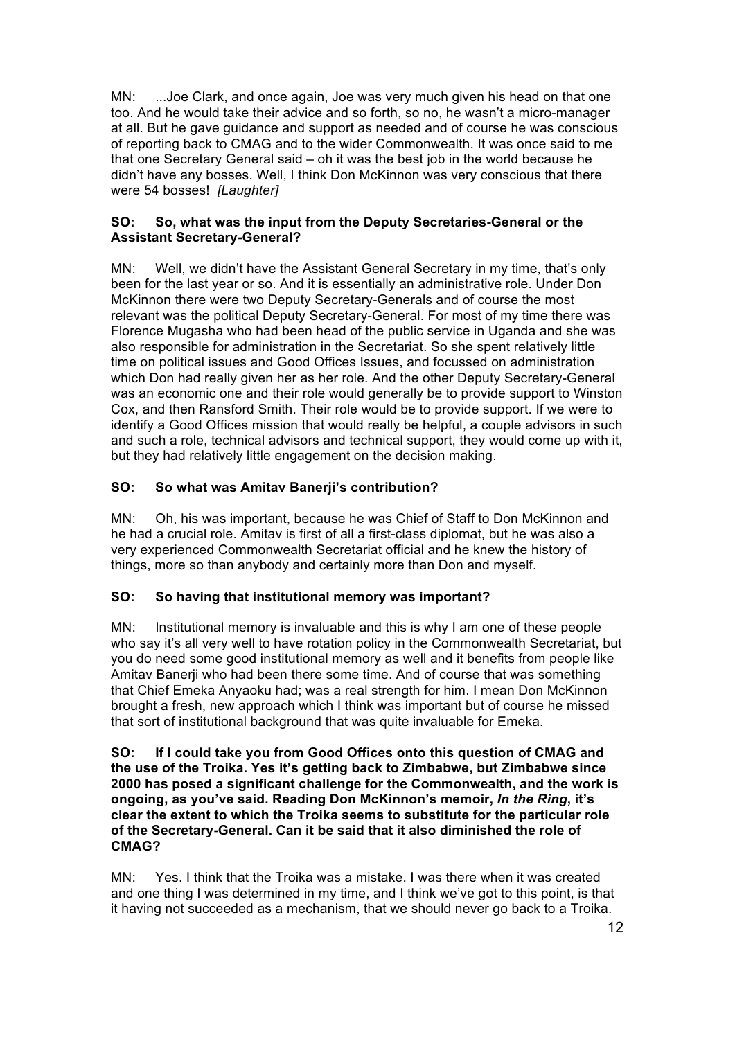MN: ...Joe Clark, and once again, Joe was very much given his head on that one too. And he would take their advice and so forth, so no, he wasn't a micro-manager at all. But he gave guidance and support as needed and of course he was conscious of reporting back to CMAG and to the wider Commonwealth. It was once said to me that one Secretary General said – oh it was the best job in the world because he didn't have any bosses. Well, I think Don McKinnon was very conscious that there were 54 bosses! *[Laughter]*

## **SO: So, what was the input from the Deputy Secretaries-General or the Assistant Secretary-General?**

MN: Well, we didn't have the Assistant General Secretary in my time, that's only been for the last year or so. And it is essentially an administrative role. Under Don McKinnon there were two Deputy Secretary-Generals and of course the most relevant was the political Deputy Secretary-General. For most of my time there was Florence Mugasha who had been head of the public service in Uganda and she was also responsible for administration in the Secretariat. So she spent relatively little time on political issues and Good Offices Issues, and focussed on administration which Don had really given her as her role. And the other Deputy Secretary-General was an economic one and their role would generally be to provide support to Winston Cox, and then Ransford Smith. Their role would be to provide support. If we were to identify a Good Offices mission that would really be helpful, a couple advisors in such and such a role, technical advisors and technical support, they would come up with it, but they had relatively little engagement on the decision making.

## **SO: So what was Amitav Banerji's contribution?**

MN: Oh, his was important, because he was Chief of Staff to Don McKinnon and he had a crucial role. Amitav is first of all a first-class diplomat, but he was also a very experienced Commonwealth Secretariat official and he knew the history of things, more so than anybody and certainly more than Don and myself.

## **SO: So having that institutional memory was important?**

MN: Institutional memory is invaluable and this is why I am one of these people who say it's all very well to have rotation policy in the Commonwealth Secretariat, but you do need some good institutional memory as well and it benefits from people like Amitav Banerji who had been there some time. And of course that was something that Chief Emeka Anyaoku had; was a real strength for him. I mean Don McKinnon brought a fresh, new approach which I think was important but of course he missed that sort of institutional background that was quite invaluable for Emeka.

#### **SO: If I could take you from Good Offices onto this question of CMAG and the use of the Troika. Yes it's getting back to Zimbabwe, but Zimbabwe since 2000 has posed a significant challenge for the Commonwealth, and the work is ongoing, as you've said. Reading Don McKinnon's memoir,** *In the Ring***, it's clear the extent to which the Troika seems to substitute for the particular role of the Secretary-General. Can it be said that it also diminished the role of CMAG?**

MN: Yes. I think that the Troika was a mistake. I was there when it was created and one thing I was determined in my time, and I think we've got to this point, is that it having not succeeded as a mechanism, that we should never go back to a Troika.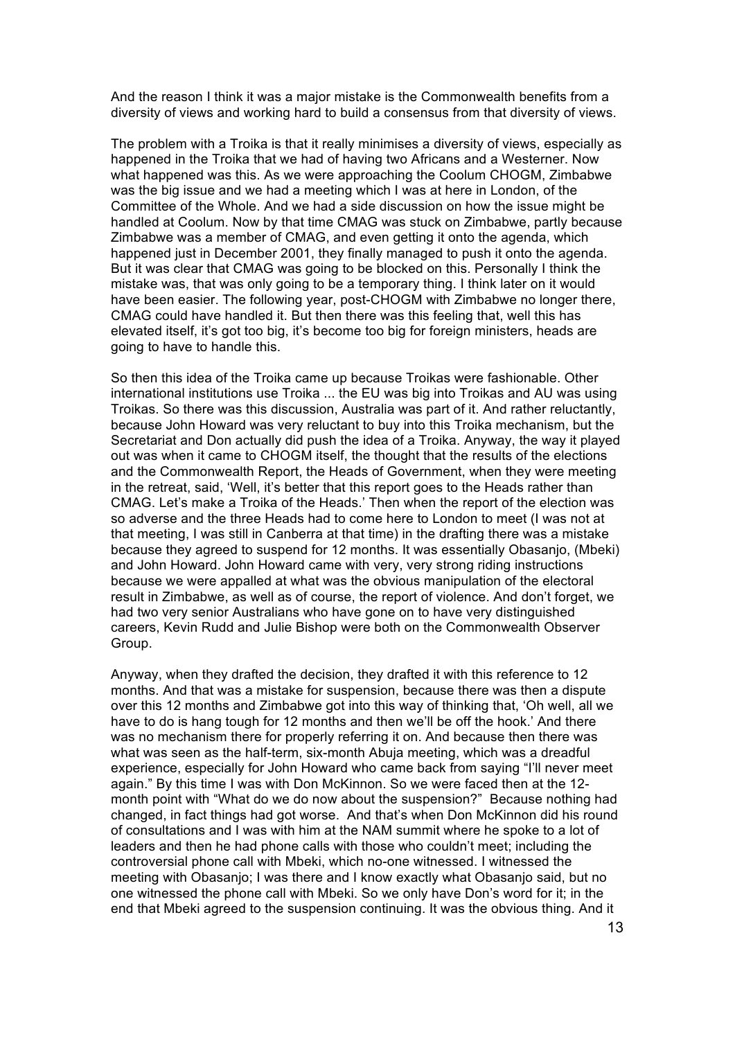And the reason I think it was a major mistake is the Commonwealth benefits from a diversity of views and working hard to build a consensus from that diversity of views.

The problem with a Troika is that it really minimises a diversity of views, especially as happened in the Troika that we had of having two Africans and a Westerner. Now what happened was this. As we were approaching the Coolum CHOGM, Zimbabwe was the big issue and we had a meeting which I was at here in London, of the Committee of the Whole. And we had a side discussion on how the issue might be handled at Coolum. Now by that time CMAG was stuck on Zimbabwe, partly because Zimbabwe was a member of CMAG, and even getting it onto the agenda, which happened just in December 2001, they finally managed to push it onto the agenda. But it was clear that CMAG was going to be blocked on this. Personally I think the mistake was, that was only going to be a temporary thing. I think later on it would have been easier. The following year, post-CHOGM with Zimbabwe no longer there, CMAG could have handled it. But then there was this feeling that, well this has elevated itself, it's got too big, it's become too big for foreign ministers, heads are going to have to handle this.

So then this idea of the Troika came up because Troikas were fashionable. Other international institutions use Troika ... the EU was big into Troikas and AU was using Troikas. So there was this discussion, Australia was part of it. And rather reluctantly, because John Howard was very reluctant to buy into this Troika mechanism, but the Secretariat and Don actually did push the idea of a Troika. Anyway, the way it played out was when it came to CHOGM itself, the thought that the results of the elections and the Commonwealth Report, the Heads of Government, when they were meeting in the retreat, said, 'Well, it's better that this report goes to the Heads rather than CMAG. Let's make a Troika of the Heads.' Then when the report of the election was so adverse and the three Heads had to come here to London to meet (I was not at that meeting, I was still in Canberra at that time) in the drafting there was a mistake because they agreed to suspend for 12 months. It was essentially Obasanjo, (Mbeki) and John Howard. John Howard came with very, very strong riding instructions because we were appalled at what was the obvious manipulation of the electoral result in Zimbabwe, as well as of course, the report of violence. And don't forget, we had two very senior Australians who have gone on to have very distinguished careers, Kevin Rudd and Julie Bishop were both on the Commonwealth Observer Group.

Anyway, when they drafted the decision, they drafted it with this reference to 12 months. And that was a mistake for suspension, because there was then a dispute over this 12 months and Zimbabwe got into this way of thinking that, 'Oh well, all we have to do is hang tough for 12 months and then we'll be off the hook.' And there was no mechanism there for properly referring it on. And because then there was what was seen as the half-term, six-month Abuja meeting, which was a dreadful experience, especially for John Howard who came back from saying "I'll never meet again." By this time I was with Don McKinnon. So we were faced then at the 12 month point with "What do we do now about the suspension?" Because nothing had changed, in fact things had got worse. And that's when Don McKinnon did his round of consultations and I was with him at the NAM summit where he spoke to a lot of leaders and then he had phone calls with those who couldn't meet; including the controversial phone call with Mbeki, which no-one witnessed. I witnessed the meeting with Obasanjo; I was there and I know exactly what Obasanjo said, but no one witnessed the phone call with Mbeki. So we only have Don's word for it; in the end that Mbeki agreed to the suspension continuing. It was the obvious thing. And it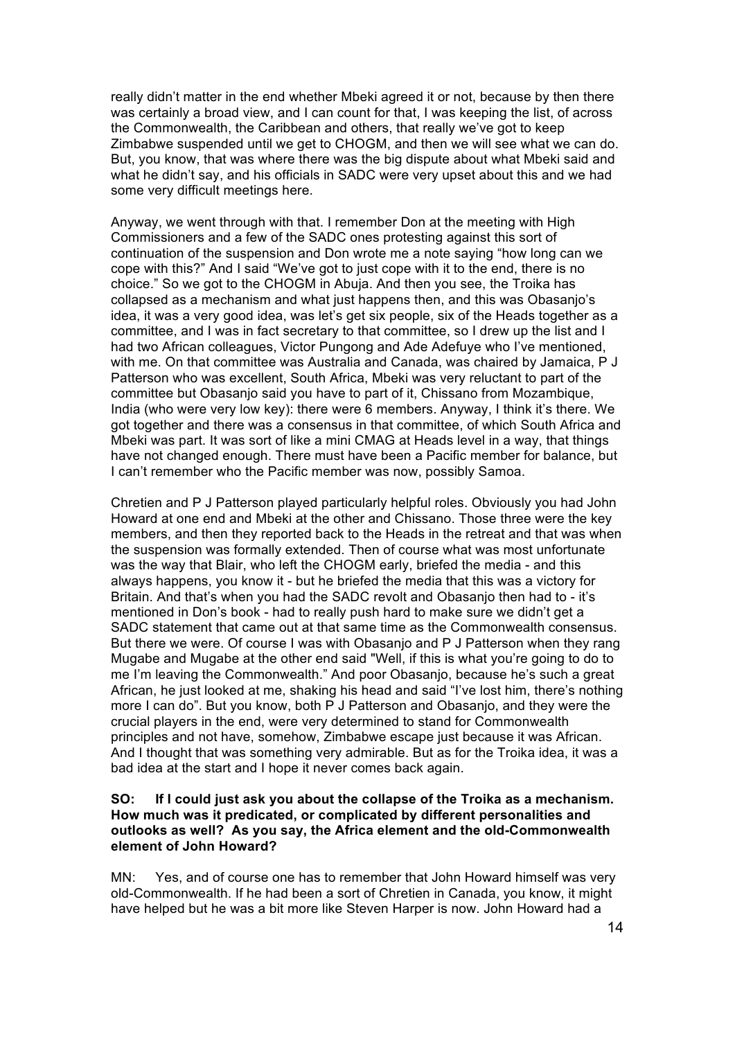really didn't matter in the end whether Mbeki agreed it or not, because by then there was certainly a broad view, and I can count for that, I was keeping the list, of across the Commonwealth, the Caribbean and others, that really we've got to keep Zimbabwe suspended until we get to CHOGM, and then we will see what we can do. But, you know, that was where there was the big dispute about what Mbeki said and what he didn't say, and his officials in SADC were very upset about this and we had some very difficult meetings here.

Anyway, we went through with that. I remember Don at the meeting with High Commissioners and a few of the SADC ones protesting against this sort of continuation of the suspension and Don wrote me a note saying "how long can we cope with this?" And I said "We've got to just cope with it to the end, there is no choice." So we got to the CHOGM in Abuja. And then you see, the Troika has collapsed as a mechanism and what just happens then, and this was Obasanjo's idea, it was a very good idea, was let's get six people, six of the Heads together as a committee, and I was in fact secretary to that committee, so I drew up the list and I had two African colleagues, Victor Pungong and Ade Adefuye who I've mentioned, with me. On that committee was Australia and Canada, was chaired by Jamaica, P J Patterson who was excellent, South Africa, Mbeki was very reluctant to part of the committee but Obasanjo said you have to part of it, Chissano from Mozambique, India (who were very low key): there were 6 members. Anyway, I think it's there. We got together and there was a consensus in that committee, of which South Africa and Mbeki was part. It was sort of like a mini CMAG at Heads level in a way, that things have not changed enough. There must have been a Pacific member for balance, but I can't remember who the Pacific member was now, possibly Samoa.

Chretien and P J Patterson played particularly helpful roles. Obviously you had John Howard at one end and Mbeki at the other and Chissano. Those three were the key members, and then they reported back to the Heads in the retreat and that was when the suspension was formally extended. Then of course what was most unfortunate was the way that Blair, who left the CHOGM early, briefed the media - and this always happens, you know it - but he briefed the media that this was a victory for Britain. And that's when you had the SADC revolt and Obasanjo then had to - it's mentioned in Don's book - had to really push hard to make sure we didn't get a SADC statement that came out at that same time as the Commonwealth consensus. But there we were. Of course I was with Obasanjo and P J Patterson when they rang Mugabe and Mugabe at the other end said "Well, if this is what you're going to do to me I'm leaving the Commonwealth." And poor Obasanjo, because he's such a great African, he just looked at me, shaking his head and said "I've lost him, there's nothing more I can do". But you know, both P J Patterson and Obasanjo, and they were the crucial players in the end, were very determined to stand for Commonwealth principles and not have, somehow, Zimbabwe escape just because it was African. And I thought that was something very admirable. But as for the Troika idea, it was a bad idea at the start and I hope it never comes back again.

#### **SO: If I could just ask you about the collapse of the Troika as a mechanism. How much was it predicated, or complicated by different personalities and outlooks as well? As you say, the Africa element and the old-Commonwealth element of John Howard?**

MN: Yes, and of course one has to remember that John Howard himself was very old-Commonwealth. If he had been a sort of Chretien in Canada, you know, it might have helped but he was a bit more like Steven Harper is now. John Howard had a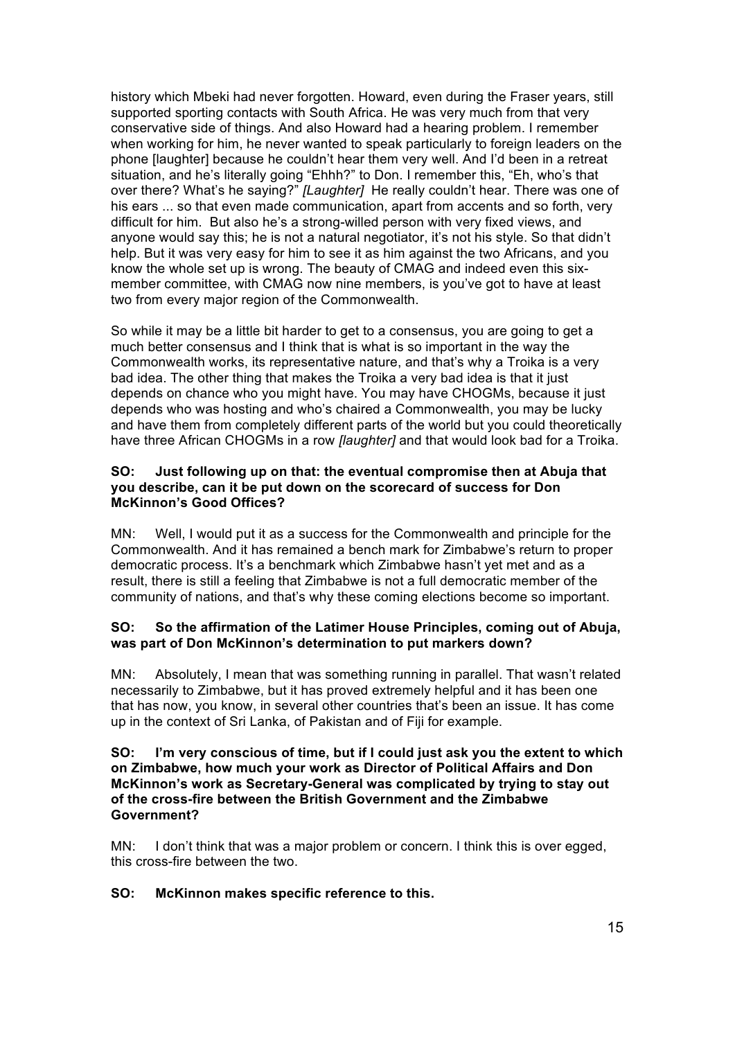history which Mbeki had never forgotten. Howard, even during the Fraser years, still supported sporting contacts with South Africa. He was very much from that very conservative side of things. And also Howard had a hearing problem. I remember when working for him, he never wanted to speak particularly to foreign leaders on the phone [laughter] because he couldn't hear them very well. And I'd been in a retreat situation, and he's literally going "Ehhh?" to Don. I remember this, "Eh, who's that over there? What's he saying?" *[Laughter]* He really couldn't hear. There was one of his ears ... so that even made communication, apart from accents and so forth, very difficult for him. But also he's a strong-willed person with very fixed views, and anyone would say this; he is not a natural negotiator, it's not his style. So that didn't help. But it was very easy for him to see it as him against the two Africans, and you know the whole set up is wrong. The beauty of CMAG and indeed even this sixmember committee, with CMAG now nine members, is you've got to have at least two from every major region of the Commonwealth.

So while it may be a little bit harder to get to a consensus, you are going to get a much better consensus and I think that is what is so important in the way the Commonwealth works, its representative nature, and that's why a Troika is a very bad idea. The other thing that makes the Troika a very bad idea is that it just depends on chance who you might have. You may have CHOGMs, because it just depends who was hosting and who's chaired a Commonwealth, you may be lucky and have them from completely different parts of the world but you could theoretically have three African CHOGMs in a row *[laughter]* and that would look bad for a Troika.

#### **SO: Just following up on that: the eventual compromise then at Abuja that you describe, can it be put down on the scorecard of success for Don McKinnon's Good Offices?**

MN: Well, I would put it as a success for the Commonwealth and principle for the Commonwealth. And it has remained a bench mark for Zimbabwe's return to proper democratic process. It's a benchmark which Zimbabwe hasn't yet met and as a result, there is still a feeling that Zimbabwe is not a full democratic member of the community of nations, and that's why these coming elections become so important.

#### **SO: So the affirmation of the Latimer House Principles, coming out of Abuja, was part of Don McKinnon's determination to put markers down?**

MN: Absolutely, I mean that was something running in parallel. That wasn't related necessarily to Zimbabwe, but it has proved extremely helpful and it has been one that has now, you know, in several other countries that's been an issue. It has come up in the context of Sri Lanka, of Pakistan and of Fiji for example.

### **SO: I'm very conscious of time, but if I could just ask you the extent to which on Zimbabwe, how much your work as Director of Political Affairs and Don McKinnon's work as Secretary-General was complicated by trying to stay out of the cross-fire between the British Government and the Zimbabwe Government?**

MN: I don't think that was a major problem or concern. I think this is over egged, this cross-fire between the two.

## **SO: McKinnon makes specific reference to this.**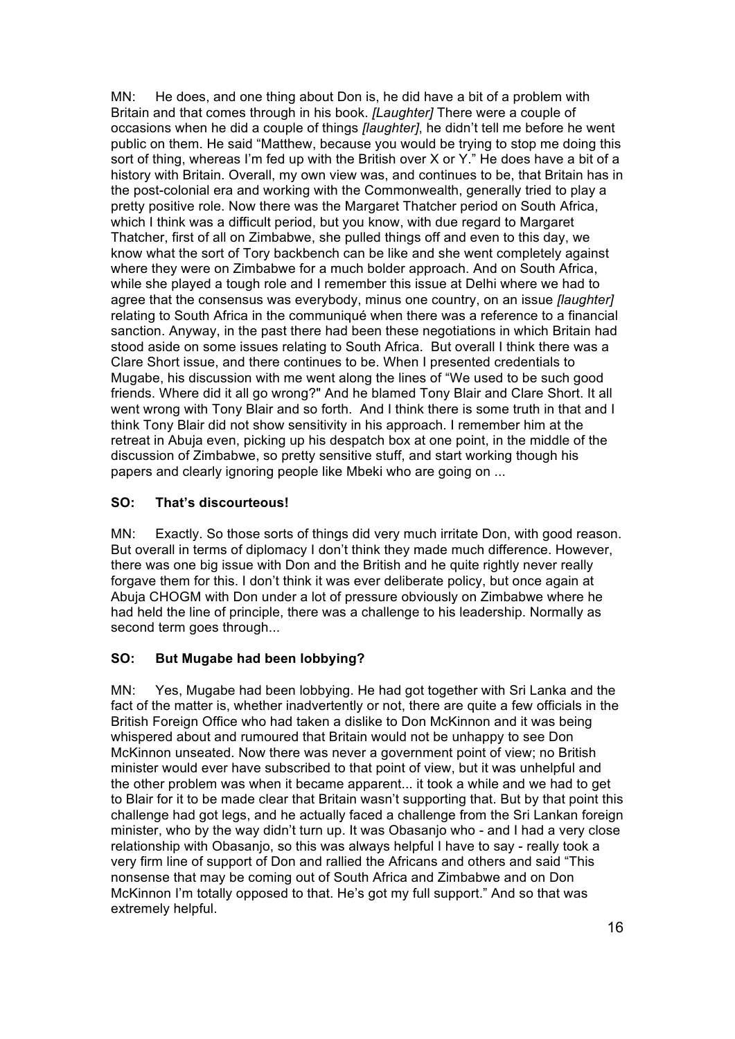MN: He does, and one thing about Don is, he did have a bit of a problem with Britain and that comes through in his book. *[Laughter]* There were a couple of occasions when he did a couple of things *[laughter]*, he didn't tell me before he went public on them. He said "Matthew, because you would be trying to stop me doing this sort of thing, whereas I'm fed up with the British over X or Y." He does have a bit of a history with Britain. Overall, my own view was, and continues to be, that Britain has in the post-colonial era and working with the Commonwealth, generally tried to play a pretty positive role. Now there was the Margaret Thatcher period on South Africa, which I think was a difficult period, but you know, with due regard to Margaret Thatcher, first of all on Zimbabwe, she pulled things off and even to this day, we know what the sort of Tory backbench can be like and she went completely against where they were on Zimbabwe for a much bolder approach. And on South Africa, while she played a tough role and I remember this issue at Delhi where we had to agree that the consensus was everybody, minus one country, on an issue *[laughter]* relating to South Africa in the communiqué when there was a reference to a financial sanction. Anyway, in the past there had been these negotiations in which Britain had stood aside on some issues relating to South Africa. But overall I think there was a Clare Short issue, and there continues to be. When I presented credentials to Mugabe, his discussion with me went along the lines of "We used to be such good friends. Where did it all go wrong?" And he blamed Tony Blair and Clare Short. It all went wrong with Tony Blair and so forth. And I think there is some truth in that and I think Tony Blair did not show sensitivity in his approach. I remember him at the retreat in Abuja even, picking up his despatch box at one point, in the middle of the discussion of Zimbabwe, so pretty sensitive stuff, and start working though his papers and clearly ignoring people like Mbeki who are going on ...

## **SO: That's discourteous!**

MN: Exactly. So those sorts of things did very much irritate Don, with good reason. But overall in terms of diplomacy I don't think they made much difference. However, there was one big issue with Don and the British and he quite rightly never really forgave them for this. I don't think it was ever deliberate policy, but once again at Abuja CHOGM with Don under a lot of pressure obviously on Zimbabwe where he had held the line of principle, there was a challenge to his leadership. Normally as second term goes through...

## **SO: But Mugabe had been lobbying?**

MN: Yes, Mugabe had been lobbying. He had got together with Sri Lanka and the fact of the matter is, whether inadvertently or not, there are quite a few officials in the British Foreign Office who had taken a dislike to Don McKinnon and it was being whispered about and rumoured that Britain would not be unhappy to see Don McKinnon unseated. Now there was never a government point of view; no British minister would ever have subscribed to that point of view, but it was unhelpful and the other problem was when it became apparent... it took a while and we had to get to Blair for it to be made clear that Britain wasn't supporting that. But by that point this challenge had got legs, and he actually faced a challenge from the Sri Lankan foreign minister, who by the way didn't turn up. It was Obasanjo who - and I had a very close relationship with Obasanjo, so this was always helpful I have to say - really took a very firm line of support of Don and rallied the Africans and others and said "This nonsense that may be coming out of South Africa and Zimbabwe and on Don McKinnon I'm totally opposed to that. He's got my full support." And so that was extremely helpful.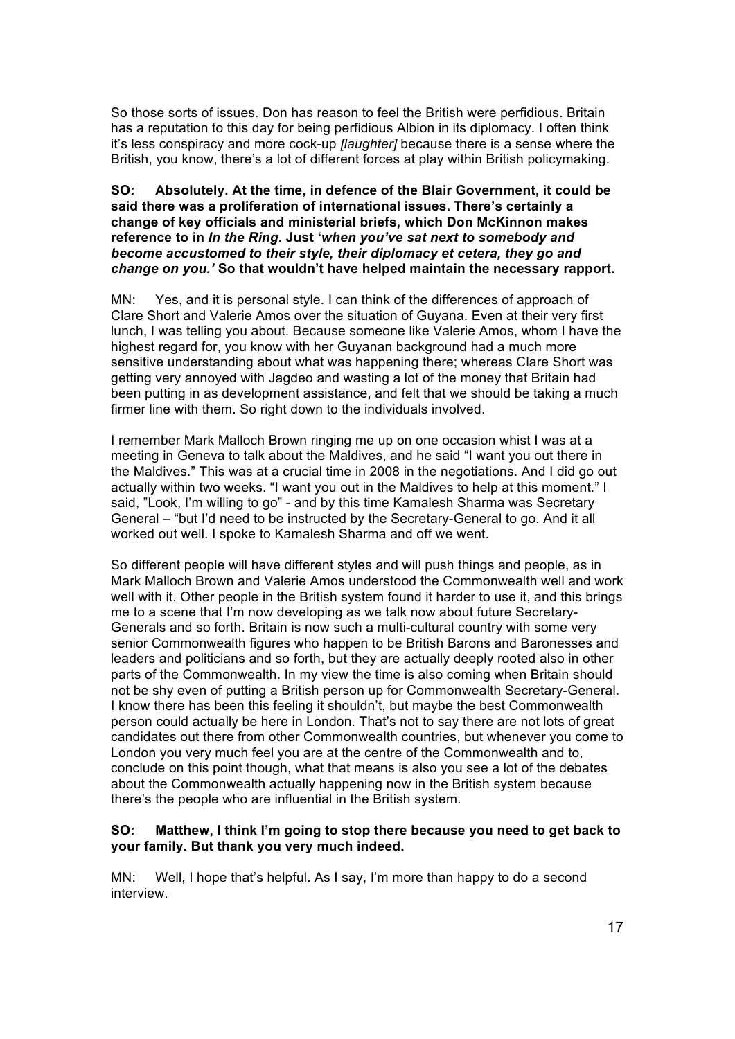So those sorts of issues. Don has reason to feel the British were perfidious. Britain has a reputation to this day for being perfidious Albion in its diplomacy. I often think it's less conspiracy and more cock-up *[laughter]* because there is a sense where the British, you know, there's a lot of different forces at play within British policymaking.

#### **SO: Absolutely. At the time, in defence of the Blair Government, it could be said there was a proliferation of international issues. There's certainly a change of key officials and ministerial briefs, which Don McKinnon makes reference to in** *In the Ring***. Just '***when you've sat next to somebody and become accustomed to their style, their diplomacy et cetera, they go and change on you.'* **So that wouldn't have helped maintain the necessary rapport.**

MN: Yes, and it is personal style. I can think of the differences of approach of Clare Short and Valerie Amos over the situation of Guyana. Even at their very first lunch, I was telling you about. Because someone like Valerie Amos, whom I have the highest regard for, you know with her Guyanan background had a much more sensitive understanding about what was happening there; whereas Clare Short was getting very annoyed with Jagdeo and wasting a lot of the money that Britain had been putting in as development assistance, and felt that we should be taking a much firmer line with them. So right down to the individuals involved.

I remember Mark Malloch Brown ringing me up on one occasion whist I was at a meeting in Geneva to talk about the Maldives, and he said "I want you out there in the Maldives." This was at a crucial time in 2008 in the negotiations. And I did go out actually within two weeks. "I want you out in the Maldives to help at this moment." I said, "Look, I'm willing to go" - and by this time Kamalesh Sharma was Secretary General – "but I'd need to be instructed by the Secretary-General to go. And it all worked out well. I spoke to Kamalesh Sharma and off we went.

So different people will have different styles and will push things and people, as in Mark Malloch Brown and Valerie Amos understood the Commonwealth well and work well with it. Other people in the British system found it harder to use it, and this brings me to a scene that I'm now developing as we talk now about future Secretary-Generals and so forth. Britain is now such a multi-cultural country with some very senior Commonwealth figures who happen to be British Barons and Baronesses and leaders and politicians and so forth, but they are actually deeply rooted also in other parts of the Commonwealth. In my view the time is also coming when Britain should not be shy even of putting a British person up for Commonwealth Secretary-General. I know there has been this feeling it shouldn't, but maybe the best Commonwealth person could actually be here in London. That's not to say there are not lots of great candidates out there from other Commonwealth countries, but whenever you come to London you very much feel you are at the centre of the Commonwealth and to, conclude on this point though, what that means is also you see a lot of the debates about the Commonwealth actually happening now in the British system because there's the people who are influential in the British system.

#### **SO: Matthew, I think I'm going to stop there because you need to get back to your family. But thank you very much indeed.**

MN: Well, I hope that's helpful. As I say, I'm more than happy to do a second interview.